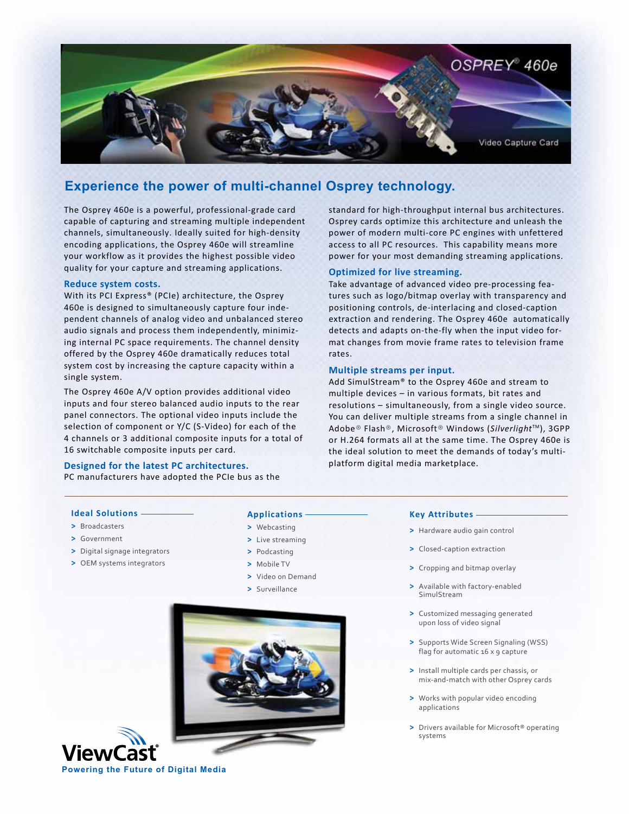

## **Experience the power of multi-channel Osprey technology.**

The Osprey 460e is a powerful, professional-grade card capable of capturing and streaming multiple independent channels, simultaneously. Ideally suited for high-density encoding applications, the Osprey 460e will streamline your workflow as it provides the highest possible video quality for your capture and streaming applications.

#### **Reduce system costs.**

With its PCI Express® (PCIe) architecture, the Osprey 460e is designed to simultaneously capture four independent channels of analog video and unbalanced stereo audio signals and process them independently, minimizing internal PC space requirements. The channel density offered by the Osprey 460e dramatically reduces total system cost by increasing the capture capacity within a single system.

The Osprey 460e A/V option provides additional video inputs and four stereo balanced audio inputs to the rear panel connectors. The optional video inputs include the selection of component or Y/C (S-Video) for each of the 4 channels or 3 additional composite inputs for a total of 16 switchable composite inputs per card.

### **Designed for the latest PC architectures.**

PC manufacturers have adopted the PCIe bus as the

standard for high-throughput internal bus architectures. Osprey cards optimize this architecture and unleash the power of modern multi-core PC engines with unfettered access to all PC resources. This capability means more power for your most demanding streaming applications.

### **Optimized for live streaming.**

Take advantage of advanced video pre-processing features such as logo/bitmap overlay with transparency and positioning controls, de-interlacing and closed-caption extraction and rendering. The Osprey 460e automatically detects and adapts on-the-fly when the input video format changes from movie frame rates to television frame rates.

#### **Multiple streams per input.**

Add SimulStream® to the Osprey 460e and stream to multiple devices – in various formats, bit rates and resolutions – simultaneously, from a single video source. You can deliver multiple streams from a single channel in Adobe® Flash®, Microsoft® Windows (Silverlight<sup>™</sup>), 3GPP or H.264 formats all at the same time. The Osprey 460e is the ideal solution to meet the demands of today's multiplatform digital media marketplace.

#### **Ideal Solutions**

- **>** Broadcasters
- **>** Government
- **>** Digital signage integrators
- **>** OEM systems integrators

## **Applications**

- **>** Webcasting
- **>** Live streaming
- **>** Podcasting
- **>** Mobile TV
- **>** Video on Demand
- **>** Surveillance



#### **Key Attributes**

- **>** Hardware audio gain control
- **>** Closed-caption extraction
- **>** Cropping and bitmap overlay
- **>** Available with factory-enabled SimulStream
- **>** Customized messaging generated upon loss of video signal
- **>** Supports Wide Screen Signaling (WSS) flag for automatic 16 x 9 capture
- **>** Install multiple cards per chassis, or mix-and-match with other Osprey cards
- **>** Works with popular video encoding applications
- **>** Drivers available for Microsoft® operating systems